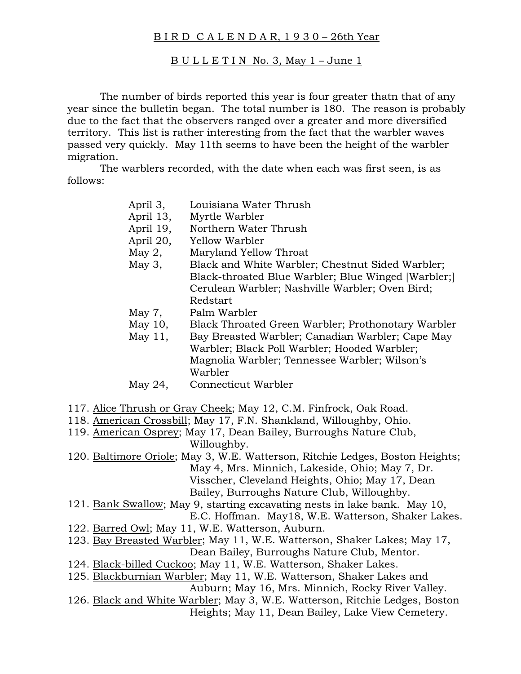## B I R D C A L E N D A R, 1 9 3 0 – 26th Year

## $B U L L E T I N$  No. 3, May  $1 -$  June 1

 The number of birds reported this year is four greater thatn that of any year since the bulletin began. The total number is 180. The reason is probably due to the fact that the observers ranged over a greater and more diversified territory. This list is rather interesting from the fact that the warbler waves passed very quickly. May 11th seems to have been the height of the warbler migration.

 The warblers recorded, with the date when each was first seen, is as follows:

- April 13, Myrtle Warbler
- April 19, Northern Water Thrush
- April 20, Yellow Warbler
- May 2, Maryland Yellow Throat
- May 3, Black and White Warbler; Chestnut Sided Warbler; Black-throated Blue Warbler; Blue Winged [Warbler;] Cerulean Warbler; Nashville Warbler; Oven Bird; Redstart
- May 7, Palm Warbler
- May 10, Black Throated Green Warbler; Prothonotary Warbler
- May 11, Bay Breasted Warbler; Canadian Warbler; Cape May Warbler; Black Poll Warbler; Hooded Warbler; Magnolia Warbler; Tennessee Warbler; Wilson's Warbler
- May 24, Connecticut Warbler
- 117. Alice Thrush or Gray Cheek; May 12, C.M. Finfrock, Oak Road.
- 118. American Crossbill; May 17, F.N. Shankland, Willoughby, Ohio.
- 119. American Osprey; May 17, Dean Bailey, Burroughs Nature Club, Willoughby.
- 120. Baltimore Oriole; May 3, W.E. Watterson, Ritchie Ledges, Boston Heights; May 4, Mrs. Minnich, Lakeside, Ohio; May 7, Dr. Visscher, Cleveland Heights, Ohio; May 17, Dean Bailey, Burroughs Nature Club, Willoughby.
- 121. Bank Swallow; May 9, starting excavating nests in lake bank. May 10, E.C. Hoffman. May18, W.E. Watterson, Shaker Lakes.
- 122. Barred Owl; May 11, W.E. Watterson, Auburn.
- 123. Bay Breasted Warbler; May 11, W.E. Watterson, Shaker Lakes; May 17, Dean Bailey, Burroughs Nature Club, Mentor.
- 124. Black-billed Cuckoo; May 11, W.E. Watterson, Shaker Lakes.
- 125. Blackburnian Warbler; May 11, W.E. Watterson, Shaker Lakes and Auburn; May 16, Mrs. Minnich, Rocky River Valley.
- 126. Black and White Warbler; May 3, W.E. Watterson, Ritchie Ledges, Boston Heights; May 11, Dean Bailey, Lake View Cemetery.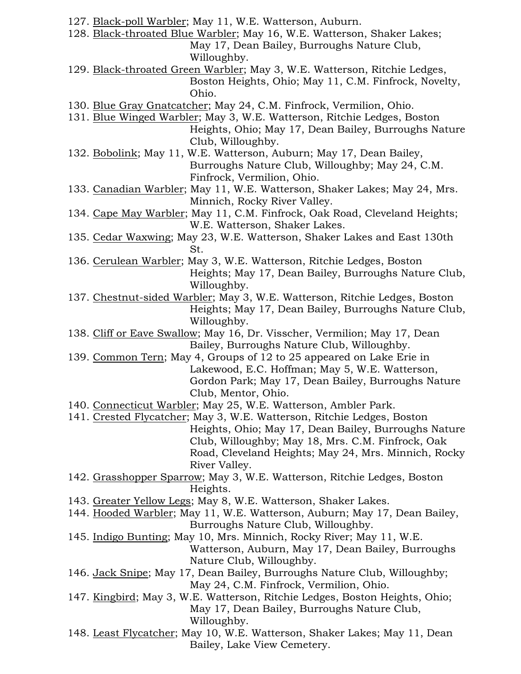- 127. Black-poll Warbler; May 11, W.E. Watterson, Auburn.
- 128. Black-throated Blue Warbler; May 16, W.E. Watterson, Shaker Lakes; May 17, Dean Bailey, Burroughs Nature Club, Willoughby.
- 129. Black-throated Green Warbler; May 3, W.E. Watterson, Ritchie Ledges, Boston Heights, Ohio; May 11, C.M. Finfrock, Novelty, Ohio.
- 130. Blue Gray Gnatcatcher; May 24, C.M. Finfrock, Vermilion, Ohio.
- 131. Blue Winged Warbler; May 3, W.E. Watterson, Ritchie Ledges, Boston Heights, Ohio; May 17, Dean Bailey, Burroughs Nature Club, Willoughby.
- 132. Bobolink; May 11, W.E. Watterson, Auburn; May 17, Dean Bailey, Burroughs Nature Club, Willoughby; May 24, C.M. Finfrock, Vermilion, Ohio.
- 133. Canadian Warbler; May 11, W.E. Watterson, Shaker Lakes; May 24, Mrs. Minnich, Rocky River Valley.
- 134. Cape May Warbler; May 11, C.M. Finfrock, Oak Road, Cleveland Heights; W.E. Watterson, Shaker Lakes.
- 135. Cedar Waxwing; May 23, W.E. Watterson, Shaker Lakes and East 130th St.
- 136. Cerulean Warbler; May 3, W.E. Watterson, Ritchie Ledges, Boston Heights; May 17, Dean Bailey, Burroughs Nature Club, Willoughby.
- 137. Chestnut-sided Warbler; May 3, W.E. Watterson, Ritchie Ledges, Boston Heights; May 17, Dean Bailey, Burroughs Nature Club, Willoughby.
- 138. Cliff or Eave Swallow; May 16, Dr. Visscher, Vermilion; May 17, Dean Bailey, Burroughs Nature Club, Willoughby.
- 139. Common Tern; May 4, Groups of 12 to 25 appeared on Lake Erie in Lakewood, E.C. Hoffman; May 5, W.E. Watterson, Gordon Park; May 17, Dean Bailey, Burroughs Nature Club, Mentor, Ohio.
- 140. Connecticut Warbler; May 25, W.E. Watterson, Ambler Park.
- 141. Crested Flycatcher; May 3, W.E. Watterson, Ritchie Ledges, Boston Heights, Ohio; May 17, Dean Bailey, Burroughs Nature Club, Willoughby; May 18, Mrs. C.M. Finfrock, Oak Road, Cleveland Heights; May 24, Mrs. Minnich, Rocky River Valley.
- 142. Grasshopper Sparrow; May 3, W.E. Watterson, Ritchie Ledges, Boston Heights.
- 143. Greater Yellow Legs; May 8, W.E. Watterson, Shaker Lakes.
- 144. Hooded Warbler; May 11, W.E. Watterson, Auburn; May 17, Dean Bailey, Burroughs Nature Club, Willoughby.
- 145. Indigo Bunting; May 10, Mrs. Minnich, Rocky River; May 11, W.E. Watterson, Auburn, May 17, Dean Bailey, Burroughs Nature Club, Willoughby.
- 146. Jack Snipe; May 17, Dean Bailey, Burroughs Nature Club, Willoughby; May 24, C.M. Finfrock, Vermilion, Ohio.
- 147. Kingbird; May 3, W.E. Watterson, Ritchie Ledges, Boston Heights, Ohio; May 17, Dean Bailey, Burroughs Nature Club, Willoughby.
- 148. Least Flycatcher; May 10, W.E. Watterson, Shaker Lakes; May 11, Dean Bailey, Lake View Cemetery.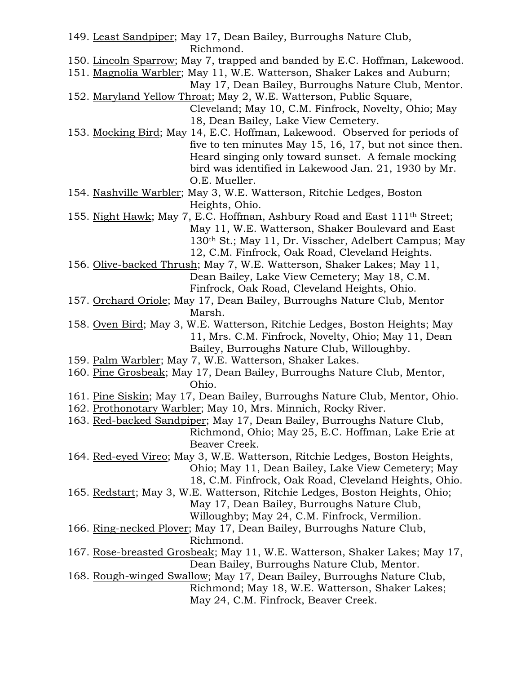- 149. Least Sandpiper; May 17, Dean Bailey, Burroughs Nature Club, Richmond.
- 150. Lincoln Sparrow; May 7, trapped and banded by E.C. Hoffman, Lakewood.
- 151. Magnolia Warbler; May 11, W.E. Watterson, Shaker Lakes and Auburn; May 17, Dean Bailey, Burroughs Nature Club, Mentor.
- 152. Maryland Yellow Throat; May 2, W.E. Watterson, Public Square, Cleveland; May 10, C.M. Finfrock, Novelty, Ohio; May 18, Dean Bailey, Lake View Cemetery.
- 153. Mocking Bird; May 14, E.C. Hoffman, Lakewood. Observed for periods of five to ten minutes May 15, 16, 17, but not since then. Heard singing only toward sunset. A female mocking bird was identified in Lakewood Jan. 21, 1930 by Mr. O.E. Mueller.
- 154. Nashville Warbler; May 3, W.E. Watterson, Ritchie Ledges, Boston Heights, Ohio.
- 155. Night Hawk; May 7, E.C. Hoffman, Ashbury Road and East 111th Street; May 11, W.E. Watterson, Shaker Boulevard and East 130th St.; May 11, Dr. Visscher, Adelbert Campus; May 12, C.M. Finfrock, Oak Road, Cleveland Heights.
- 156. Olive-backed Thrush; May 7, W.E. Watterson, Shaker Lakes; May 11, Dean Bailey, Lake View Cemetery; May 18, C.M. Finfrock, Oak Road, Cleveland Heights, Ohio.
- 157. Orchard Oriole; May 17, Dean Bailey, Burroughs Nature Club, Mentor Marsh.
- 158. Oven Bird; May 3, W.E. Watterson, Ritchie Ledges, Boston Heights; May 11, Mrs. C.M. Finfrock, Novelty, Ohio; May 11, Dean Bailey, Burroughs Nature Club, Willoughby.
- 159. Palm Warbler; May 7, W.E. Watterson, Shaker Lakes.
- 160. Pine Grosbeak; May 17, Dean Bailey, Burroughs Nature Club, Mentor, Ohio.
- 161. Pine Siskin; May 17, Dean Bailey, Burroughs Nature Club, Mentor, Ohio.
- 162. Prothonotary Warbler; May 10, Mrs. Minnich, Rocky River.
- 163. Red-backed Sandpiper; May 17, Dean Bailey, Burroughs Nature Club, Richmond, Ohio; May 25, E.C. Hoffman, Lake Erie at Beaver Creek.
- 164. Red-eyed Vireo; May 3, W.E. Watterson, Ritchie Ledges, Boston Heights, Ohio; May 11, Dean Bailey, Lake View Cemetery; May 18, C.M. Finfrock, Oak Road, Cleveland Heights, Ohio.
- 165. Redstart; May 3, W.E. Watterson, Ritchie Ledges, Boston Heights, Ohio; May 17, Dean Bailey, Burroughs Nature Club,
	- Willoughby; May 24, C.M. Finfrock, Vermilion.
	-
- 166. Ring-necked Plover; May 17, Dean Bailey, Burroughs Nature Club, Richmond.
- 167. Rose-breasted Grosbeak; May 11, W.E. Watterson, Shaker Lakes; May 17, Dean Bailey, Burroughs Nature Club, Mentor.
- 168. Rough-winged Swallow; May 17, Dean Bailey, Burroughs Nature Club, Richmond; May 18, W.E. Watterson, Shaker Lakes; May 24, C.M. Finfrock, Beaver Creek.